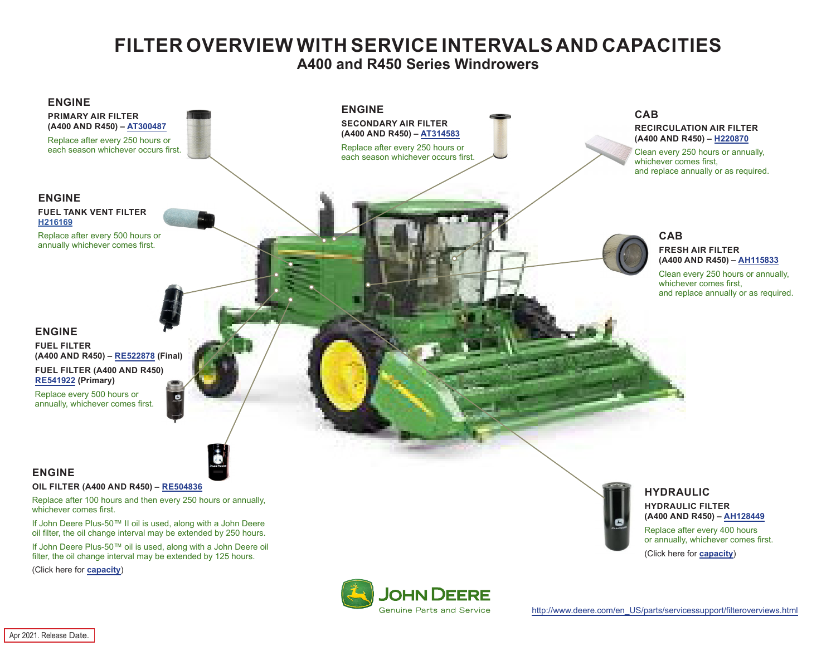## **FILTER OVERVIEW WITH SERVICE INTERVALS AND CAPACITIES A400 and R450 Series Windrowers**

<span id="page-0-0"></span>

## **OIL FILTER (A400 AND R450) – [RE504836](https://jdparts.deere.com/servlet/com.deere.u90.jdparts.view.servlets.partinfocontroller.PartDetails?screenName=JDSearch&&partSearchNumber=RE504836)**

Replace after 100 hours and then every 250 hours or annually, whichever comes first.

If John Deere Plus-50™ II oil is used, along with a John Deere oil filter, the oil change interval may be extended by 250 hours.

If John Deere Plus-50™ oil is used, along with a John Deere oil filter, the oil change interval may be extended by 125 hours.

(Click here for **[capacity](#page-1-0)**)



**HYDRAULIC HYDRAULIC FILTER (A400 AND R450) – [AH128449](https://jdparts.deere.com/servlet/com.deere.u90.jdparts.view.servlets.partinfocontroller.PartDetails?screenName=JDSearch&&partSearchNumber=AH128449)** Replace after every 400 hours or annually, whichever comes first.

(Click here for **[capacity](#page-1-0)**)